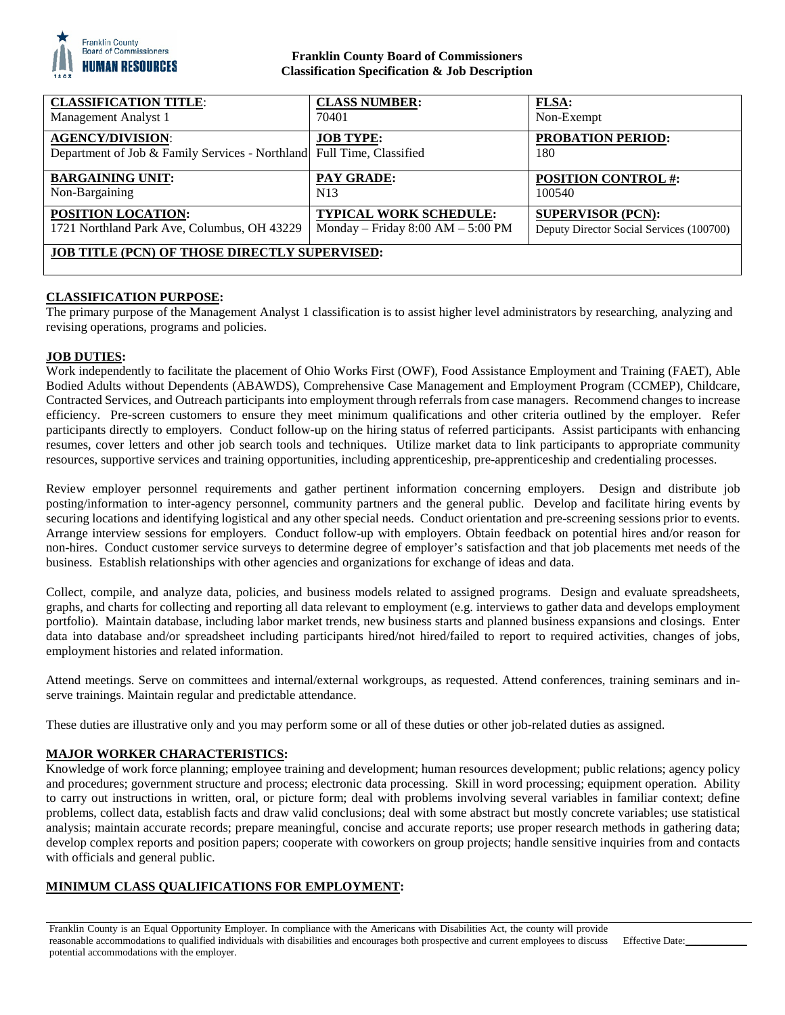

## **Franklin County Board of Commissioners Classification Specification & Job Description**

| <b>CLASSIFICATION TITLE:</b>                                                                     | <b>CLASS NUMBER:</b>                  | <b>FLSA:</b>                             |
|--------------------------------------------------------------------------------------------------|---------------------------------------|------------------------------------------|
| Management Analyst 1                                                                             | 70401                                 | Non-Exempt                               |
| <b>AGENCY/DIVISION:</b><br>Department of Job & Family Services - Northland Full Time, Classified | <b>JOB TYPE:</b>                      | <b>PROBATION PERIOD:</b><br>180          |
| <b>BARGAINING UNIT:</b>                                                                          | <b>PAY GRADE:</b>                     | <b>POSITION CONTROL #:</b>               |
| Non-Bargaining                                                                                   | N <sub>13</sub>                       | 100540                                   |
| <b>POSITION LOCATION:</b>                                                                        | <b>TYPICAL WORK SCHEDULE:</b>         | <b>SUPERVISOR (PCN):</b>                 |
| 1721 Northland Park Ave, Columbus, OH 43229                                                      | Monday – Friday $8:00$ AM – $5:00$ PM | Deputy Director Social Services (100700) |
| <b>JOB TITLE (PCN) OF THOSE DIRECTLY SUPERVISED:</b>                                             |                                       |                                          |

## **CLASSIFICATION PURPOSE:**

The primary purpose of the Management Analyst 1 classification is to assist higher level administrators by researching, analyzing and revising operations, programs and policies.

## **JOB DUTIES:**

Work independently to facilitate the placement of Ohio Works First (OWF), Food Assistance Employment and Training (FAET), Able Bodied Adults without Dependents (ABAWDS), Comprehensive Case Management and Employment Program (CCMEP), Childcare, Contracted Services, and Outreach participants into employment through referrals from case managers. Recommend changes to increase efficiency. Pre-screen customers to ensure they meet minimum qualifications and other criteria outlined by the employer. Refer participants directly to employers. Conduct follow-up on the hiring status of referred participants. Assist participants with enhancing resumes, cover letters and other job search tools and techniques. Utilize market data to link participants to appropriate community resources, supportive services and training opportunities, including apprenticeship, pre-apprenticeship and credentialing processes.

Review employer personnel requirements and gather pertinent information concerning employers. Design and distribute job posting/information to inter-agency personnel, community partners and the general public. Develop and facilitate hiring events by securing locations and identifying logistical and any other special needs. Conduct orientation and pre-screening sessions prior to events. Arrange interview sessions for employers. Conduct follow-up with employers. Obtain feedback on potential hires and/or reason for non-hires. Conduct customer service surveys to determine degree of employer's satisfaction and that job placements met needs of the business. Establish relationships with other agencies and organizations for exchange of ideas and data.

Collect, compile, and analyze data, policies, and business models related to assigned programs. Design and evaluate spreadsheets, graphs, and charts for collecting and reporting all data relevant to employment (e.g. interviews to gather data and develops employment portfolio). Maintain database, including labor market trends, new business starts and planned business expansions and closings. Enter data into database and/or spreadsheet including participants hired/not hired/failed to report to required activities, changes of jobs, employment histories and related information.

Attend meetings. Serve on committees and internal/external workgroups, as requested. Attend conferences, training seminars and inserve trainings. Maintain regular and predictable attendance.

These duties are illustrative only and you may perform some or all of these duties or other job-related duties as assigned.

## **MAJOR WORKER CHARACTERISTICS:**

Knowledge of work force planning; employee training and development; human resources development; public relations; agency policy and procedures; government structure and process; electronic data processing. Skill in word processing; equipment operation. Ability to carry out instructions in written, oral, or picture form; deal with problems involving several variables in familiar context; define problems, collect data, establish facts and draw valid conclusions; deal with some abstract but mostly concrete variables; use statistical analysis; maintain accurate records; prepare meaningful, concise and accurate reports; use proper research methods in gathering data; develop complex reports and position papers; cooperate with coworkers on group projects; handle sensitive inquiries from and contacts with officials and general public.

# **MINIMUM CLASS QUALIFICATIONS FOR EMPLOYMENT:**

Franklin County is an Equal Opportunity Employer. In compliance with the Americans with Disabilities Act, the county will provide reasonable accommodations to qualified individuals with disabilities and encourages both prospective and current employees to discuss potential accommodations with the employer.

Effective Date: